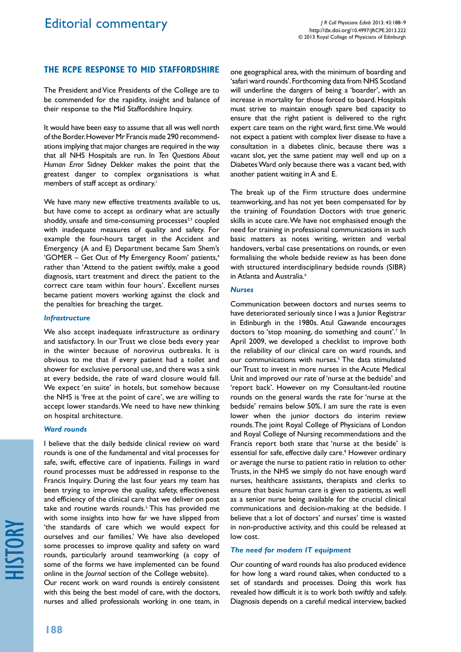# **The RCPE response to Mid Staffordshire**

The President and Vice Presidents of the College are to be commended for the rapidity, insight and balance of their response to the Mid Staffordshire Inquiry.

It would have been easy to assume that all was well north of the Border. However Mr Francis made 290 recommendations implying that major changes are required in the way that all NHS Hospitals are run. In *Ten Questions About Human Error* Sidney Dekker makes the point that the greatest danger to complex organisations is what members of staff accept as ordinary.<sup>1</sup>

We have many new effective treatments available to us, but have come to accept as ordinary what are actually shoddy, unsafe and time-consuming processes<sup>2,3</sup> coupled with inadequate measures of quality and safety. For example the four-hours target in the Accident and Emergency (A and E) Department became Sam Shem's 'GOMER - Get Out of My Emergency Room' patients,<sup>4</sup> rather than 'Attend to the patient swiftly, make a good diagnosis, start treatment and direct the patient to the correct care team within four hours'. Excellent nurses became patient movers working against the clock and the penalties for breaching the target.

### *Infrastructure*

We also accept inadequate infrastructure as ordinary and satisfactory. In our Trust we close beds every year in the winter because of norovirus outbreaks. It is obvious to me that if every patient had a toilet and shower for exclusive personal use, and there was a sink at every bedside, the rate of ward closure would fall. We expect 'en suite' in hotels, but somehow because the NHS is 'free at the point of care', we are willing to accept lower standards. We need to have new thinking on hospital architecture.

#### *Ward rounds*

I believe that the daily bedside clinical review on ward rounds is one of the fundamental and vital processes for safe, swift, effective care of inpatients. Failings in ward round processes must be addressed in response to the Francis Inquiry. During the last four years my team has been trying to improve the quality, safety, effectiveness and efficiency of the clinical care that we deliver on post take and routine wards rounds.<sup>5</sup> This has provided me with some insights into how far we have slipped from 'the standards of care which we would expect for ourselves and our families.' We have also developed some processes to improve quality and safety on ward rounds, particularly around teamworking (a copy of some of the forms we have implemented can be found online in the *Journal* section of the College website).

Our recent work on ward rounds is entirely consistent with this being the best model of care, with the doctors, nurses and allied professionals working in one team, in

one geographical area, with the minimum of boarding and 'safari ward rounds'. Forthcoming data from NHS Scotland will underline the dangers of being a 'boarder', with an increase in mortality for those forced to board. Hospitals must strive to maintain enough spare bed capacity to ensure that the right patient is delivered to the right expert care team on the right ward, first time. We would not expect a patient with complex liver disease to have a consultation in a diabetes clinic, because there was a vacant slot, yet the same patient may well end up on a Diabetes Ward only because there was a vacant bed, with another patient waiting in A and E.

The break up of the Firm structure does undermine teamworking, and has not yet been compensated for by the training of Foundation Doctors with true generic skills in acute care. We have not emphasised enough the need for training in professional communications in such basic matters as notes writing, written and verbal handovers, verbal case presentations on rounds, or even formalising the whole bedside review as has been done with structured interdisciplinary bedside rounds (SIBR) in Atlanta and Australia.<sup>6</sup>

### *Nurses*

Communication between doctors and nurses seems to have deteriorated seriously since I was a Junior Registrar in Edinburgh in the 1980s. Atul Gawande encourages doctors to 'stop moaning, do something and count'.<sup>7</sup> In April 2009, we developed a checklist to improve both the reliability of our clinical care on ward rounds, and our communications with nurses.<sup>5</sup> The data stimulated our Trust to invest in more nurses in the Acute Medical Unit and improved our rate of 'nurse at the bedside' and 'report back'. However on my Consultant-led routine rounds on the general wards the rate for 'nurse at the bedside' remains below 50%. I am sure the rate is even lower when the junior doctors do interim review rounds. The joint Royal College of Physicians of London and Royal College of Nursing recommendations and the Francis report both state that 'nurse at the beside' is essential for safe, effective daily care.<sup>8</sup> However ordinary or average the nurse to patient ratio in relation to other Trusts, in the NHS we simply do not have enough ward nurses, healthcare assistants, therapists and clerks to ensure that basic human care is given to patients, as well as a senior nurse being available for the crucial clinical communications and decision-making at the bedside. I believe that a lot of doctors' and nurses' time is wasted in non-productive activity, and this could be released at low cost.

## *The need for modern IT equipment*

Our counting of ward rounds has also produced evidence for how long a ward round takes, when conducted to a set of standards and processes. Doing this work has revealed how difficult it is to work both swiftly and safely. Diagnosis depends on a careful medical interview, backed